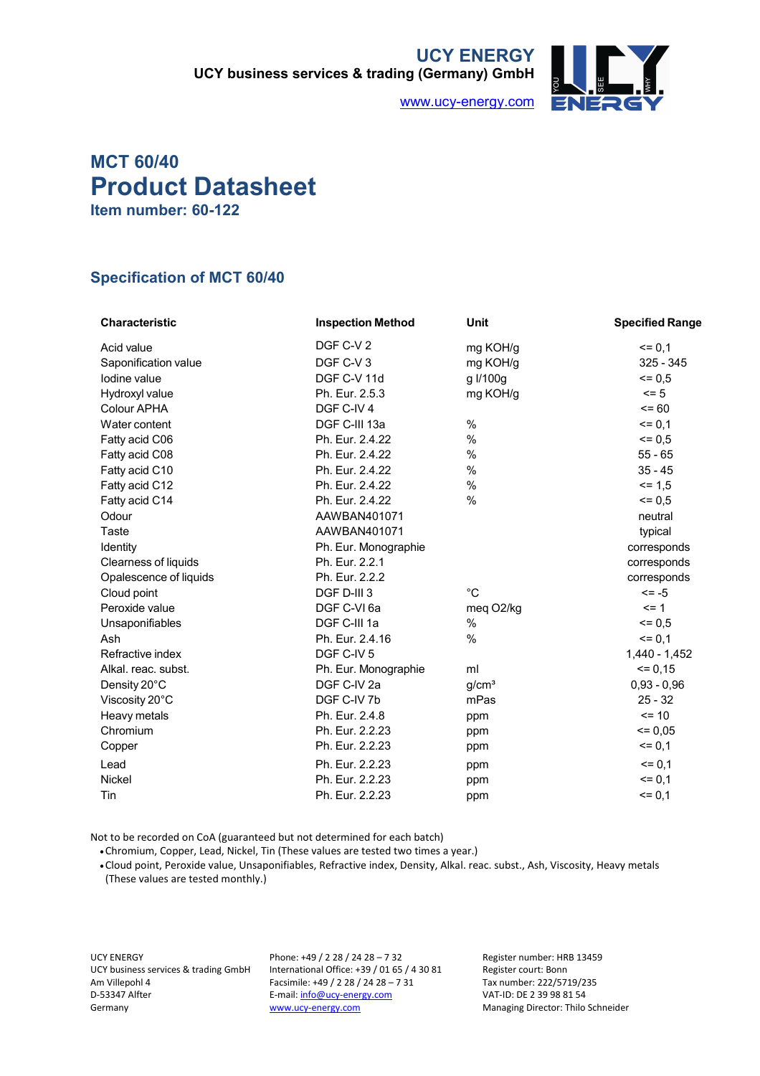**UCY ENERGY UCY business services & trading (Germany) GmbH**



www.ucy-energy.com

## **MCT 60/40 Product Datasheet Item number: 60-122**

## **Specification of MCT 60/40**

| <b>Characteristic</b>  | <b>Inspection Method</b> | <b>Unit</b>       | <b>Specified Range</b> |
|------------------------|--------------------------|-------------------|------------------------|
| Acid value             | DGF C-V 2                | mg KOH/g          | $= 0,1$                |
| Saponification value   | DGF C-V3                 | mg KOH/g          | $325 - 345$            |
| Iodine value           | DGF C-V 11d              | g I/100g          | $= 0.5$                |
| Hydroxyl value         | Ph. Eur. 2.5.3           | mg KOH/g          | $= 5$                  |
| Colour APHA            | DGF C-IV 4               |                   | $= 60$                 |
| Water content          | DGF C-III 13a            | %                 | $= 0,1$                |
| Fatty acid C06         | Ph. Eur. 2.4.22          | %                 | $= 0.5$                |
| Fatty acid C08         | Ph. Eur. 2.4.22          | %                 | $55 - 65$              |
| Fatty acid C10         | Ph. Eur. 2.4.22          | %                 | $35 - 45$              |
| Fatty acid C12         | Ph. Eur. 2.4.22          | %                 | $= 1.5$                |
| Fatty acid C14         | Ph. Eur. 2.4.22          | $\frac{0}{0}$     | $= 0.5$                |
| Odour                  | AAWBAN401071             |                   | neutral                |
| Taste                  | AAWBAN401071             |                   | typical                |
| Identity               | Ph. Eur. Monographie     |                   | corresponds            |
| Clearness of liquids   | Ph. Eur. 2.2.1           |                   | corresponds            |
| Opalescence of liquids | Ph. Eur. 2.2.2           |                   | corresponds            |
| Cloud point            | DGF D-III 3              | $^{\circ}C$       | $\le$ -5               |
| Peroxide value         | DGF C-VI 6a              | meg O2/kg         | $= 1$                  |
| Unsaponifiables        | DGF C-III 1a             | %                 | $= 0.5$                |
| Ash                    | Ph. Eur. 2.4.16          | %                 | $= 0,1$                |
| Refractive index       | DGF C-IV 5               |                   | 1,440 - 1,452          |
| Alkal, reac, subst.    | Ph. Eur. Monographie     | ml                | $= 0.15$               |
| Density 20°C           | DGF C-IV 2a              | g/cm <sup>3</sup> | $0,93 - 0,96$          |
| Viscosity 20°C         | DGF C-IV 7b              | mPas              | $25 - 32$              |
| Heavy metals           | Ph. Eur. 2.4.8           | ppm               | $= 10$                 |
| Chromium               | Ph. Eur. 2.2.23          | ppm               | $= 0.05$               |
| Copper                 | Ph. Eur. 2.2.23          | ppm               | $= 0,1$                |
| Lead                   | Ph. Eur. 2.2.23          | ppm               | $= 0,1$                |
| <b>Nickel</b>          | Ph. Eur. 2.2.23          | ppm               | $= 0,1$                |
| Tin                    | Ph. Eur. 2.2.23          | ppm               | $= 0,1$                |

Not to be recorded on CoA (guaranteed but not determined for each batch)

•Chromium, Copper, Lead, Nickel, Tin (These values are tested two times a year.)

•Cloud point, Peroxide value, Unsaponifiables, Refractive index, Density, Alkal. reac. subst., Ash, Viscosity, Heavy metals (These values are tested monthly.)

UCY ENERGY UCY business services & trading GmbH Am Villepohl 4 D-53347 Alfter Germany

Phone: +49 / 2 28 / 24 28 – 7 32 International Office: +39 / 01 65 / 4 30 81 Facsimile: +49 / 2 28 / 24 28 – 7 31 E-mail: info@ucy-energy.com www.ucy-energy.com

Register number: HRB 13459 Register court: Bonn Tax number: 222/5719/235 VAT-ID: DE 2 39 98 81 54 Managing Director: Thilo Schneider